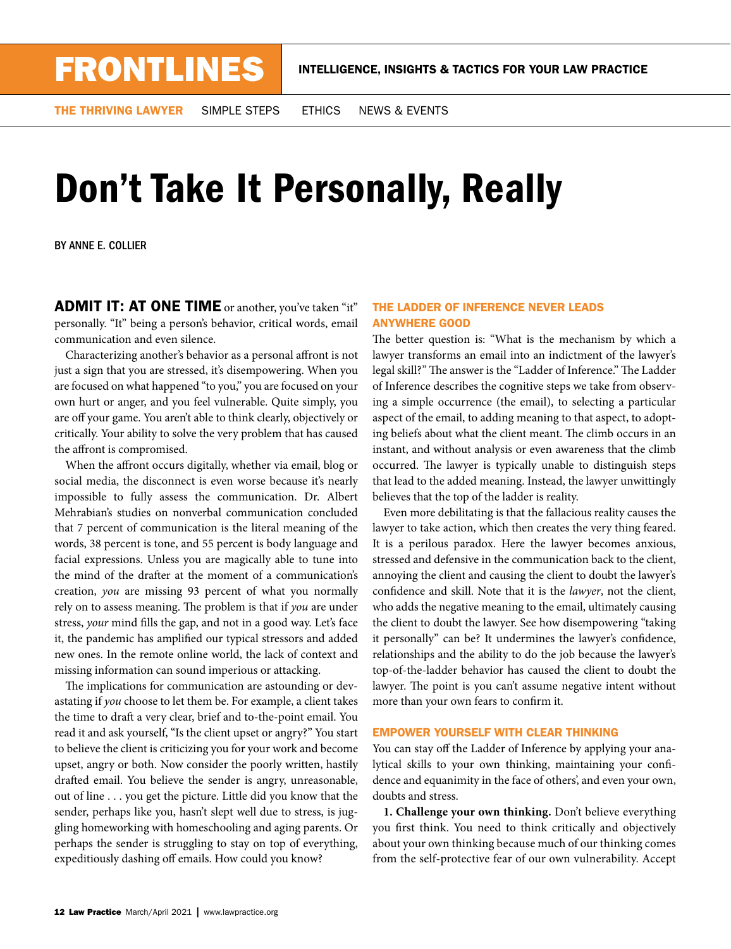THE THRIVING LAWYER SIMPLE STEPS ETHICS NEWS & EVENTS

## Don't Take It Personally, Really

BY ANNE E. COLLIER

**ADMIT IT: AT ONE TIME** or another, you've taken "it" personally. "It" being a person's behavior, critical words, email communication and even silence.

Characterizing another's behavior as a personal affront is not just a sign that you are stressed, it's disempowering. When you are focused on what happened "to you," you are focused on your own hurt or anger, and you feel vulnerable. Quite simply, you are off your game. You aren't able to think clearly, objectively or critically. Your ability to solve the very problem that has caused the affront is compromised.

When the affront occurs digitally, whether via email, blog or social media, the disconnect is even worse because it's nearly impossible to fully assess the communication. Dr. Albert Mehrabian's studies on nonverbal communication concluded that 7 percent of communication is the literal meaning of the words, 38 percent is tone, and 55 percent is body language and facial expressions. Unless you are magically able to tune into the mind of the drafter at the moment of a communication's creation, *you* are missing 93 percent of what you normally rely on to assess meaning. The problem is that if *you* are under stress, *your* mind fills the gap, and not in a good way. Let's face it, the pandemic has amplified our typical stressors and added new ones. In the remote online world, the lack of context and missing information can sound imperious or attacking.

The implications for communication are astounding or devastating if *you* choose to let them be. For example, a client takes the time to draft a very clear, brief and to-the-point email. You read it and ask yourself, "Is the client upset or angry?" You start to believe the client is criticizing you for your work and become upset, angry or both. Now consider the poorly written, hastily drafted email. You believe the sender is angry, unreasonable, out of line . . . you get the picture. Little did you know that the sender, perhaps like you, hasn't slept well due to stress, is juggling homeworking with homeschooling and aging parents. Or perhaps the sender is struggling to stay on top of everything, expeditiously dashing off emails. How could you know?

## THE LADDER OF INFERENCE NEVER LEADS ANYWHERE GOOD

The better question is: "What is the mechanism by which a lawyer transforms an email into an indictment of the lawyer's legal skill?" The answer is the "Ladder of Inference." The Ladder of Inference describes the cognitive steps we take from observing a simple occurrence (the email), to selecting a particular aspect of the email, to adding meaning to that aspect, to adopting beliefs about what the client meant. The climb occurs in an instant, and without analysis or even awareness that the climb occurred. The lawyer is typically unable to distinguish steps that lead to the added meaning. Instead, the lawyer unwittingly believes that the top of the ladder is reality.

Even more debilitating is that the fallacious reality causes the lawyer to take action, which then creates the very thing feared. It is a perilous paradox. Here the lawyer becomes anxious, stressed and defensive in the communication back to the client, annoying the client and causing the client to doubt the lawyer's confidence and skill. Note that it is the *lawyer*, not the client, who adds the negative meaning to the email, ultimately causing the client to doubt the lawyer. See how disempowering "taking it personally" can be? It undermines the lawyer's confidence, relationships and the ability to do the job because the lawyer's top-of-the-ladder behavior has caused the client to doubt the lawyer. The point is you can't assume negative intent without more than your own fears to confirm it.

## EMPOWER YOURSELF WITH CLEAR THINKING

You can stay off the Ladder of Inference by applying your analytical skills to your own thinking, maintaining your confidence and equanimity in the face of others', and even your own, doubts and stress.

**1. Challenge your own thinking.** Don't believe everything you first think. You need to think critically and objectively about your own thinking because much of our thinking comes from the self-protective fear of our own vulnerability. Accept